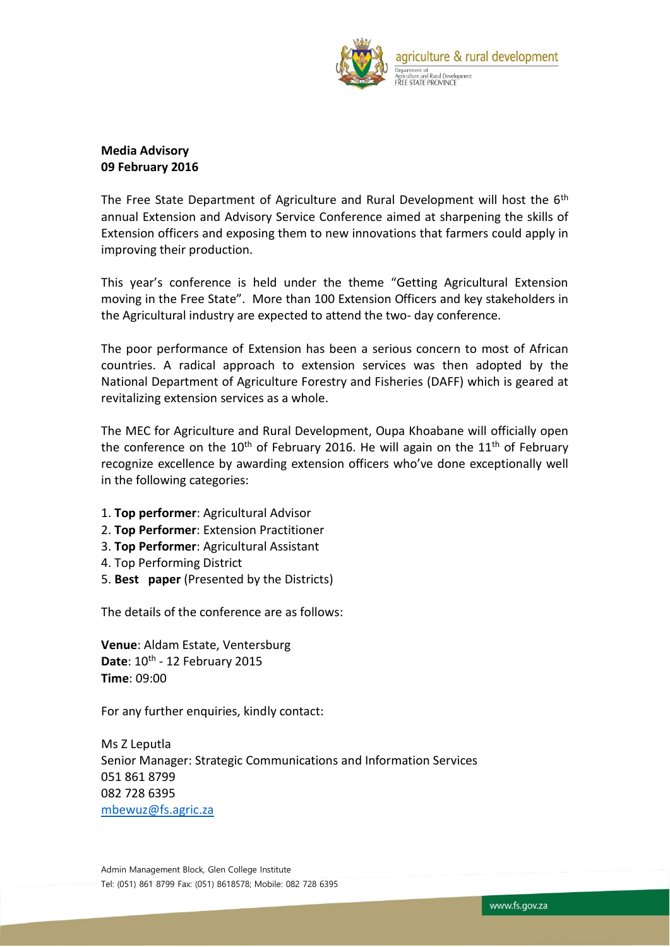

## **Media Advisory 09 February 2016**

The Free State Department of Agriculture and Rural Development will host the 6<sup>th</sup> annual Extension and Advisory Service Conference aimed at sharpening the skills of Extension officers and exposing them to new innovations that farmers could apply in improving their production.

This year's conference is held under the theme "Getting Agricultural Extension moving in the Free State". More than 100 Extension Officers and key stakeholders in the Agricultural industry are expected to attend the two- day conference.

The poor performance of Extension has been a serious concern to most of African countries. A radical approach to extension services was then adopted by the National Department of Agriculture Forestry and Fisheries (DAFF) which is geared at revitalizing extension services as a whole.

The MEC for Agriculture and Rural Development, Oupa Khoabane will officially open the conference on the 10<sup>th</sup> of February 2016. He will again on the 11<sup>th</sup> of February recognize excellence by awarding extension officers who've done exceptionally well in the following categories:

- 1. **Top performer**: Agricultural Advisor
- 2. **Top Performer**: Extension Practitioner
- 3. **Top Performer**: Agricultural Assistant
- 4. Top Performing District
- 5. **Best paper** (Presented by the Districts)

The details of the conference are as follows:

**Venue**: Aldam Estate, Ventersburg Date: 10<sup>th</sup> - 12 February 2015 **Time**: 09:00

For any further enquiries, kindly contact:

Ms Z Leputla Senior Manager: Strategic Communications and Information Services 051 861 8799 082 728 6395 [mbewuz@fs.agric.za](mailto:mbewuz@fs.agric.za)